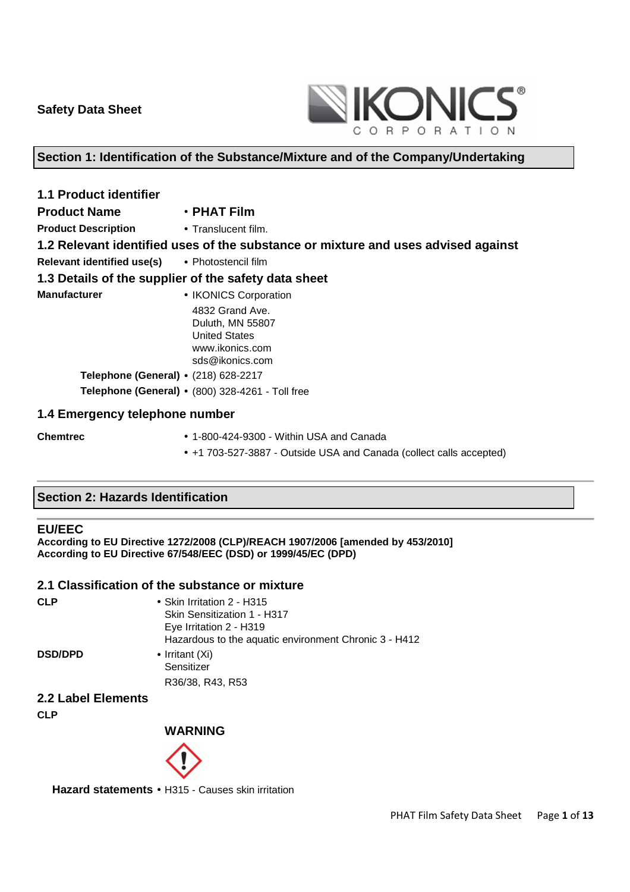

## **Section 1: Identification of the Substance/Mixture and of the Company/Undertaking**

| <b>1.1 Product identifier</b>                         |                                                                                                   |  |  |  |
|-------------------------------------------------------|---------------------------------------------------------------------------------------------------|--|--|--|
| <b>Product Name</b>                                   | $\cdot$ PHAT Film                                                                                 |  |  |  |
| <b>Product Description</b>                            | $\bullet$ Translucent film.                                                                       |  |  |  |
|                                                       | 1.2 Relevant identified uses of the substance or mixture and uses advised against                 |  |  |  |
| <b>Relevant identified use(s)</b> • Photostencil film |                                                                                                   |  |  |  |
|                                                       | 1.3 Details of the supplier of the safety data sheet                                              |  |  |  |
| <b>Manufacturer</b>                                   | • IKONICS Corporation                                                                             |  |  |  |
|                                                       | 4832 Grand Ave.<br>Duluth, MN 55807<br><b>United States</b><br>www.ikonics.com<br>sds@ikonics.com |  |  |  |
| Telephone (General) • (218) 628-2217                  |                                                                                                   |  |  |  |
| Telephone (General) · (800) 328-4261 - Toll free      |                                                                                                   |  |  |  |
| 1.4 Emergency telephone number                        |                                                                                                   |  |  |  |

- **Chemtrec**  1-800-424-9300 Within USA and Canada
	- +1 703-527-3887 Outside USA and Canada (collect calls accepted)

### **Section 2: Hazards Identification**

#### **EU/EEC**

**According to EU Directive 1272/2008 (CLP)/REACH 1907/2006 [amended by 453/2010] According to EU Directive 67/548/EEC (DSD) or 1999/45/EC (DPD)** 

### **2.1 Classification of the substance or mixture**

| • Skin Irritation 2 - H315                            |
|-------------------------------------------------------|
| Skin Sensitization 1 - H317                           |
| Eye Irritation 2 - H319                               |
| Hazardous to the aquatic environment Chronic 3 - H412 |
| • Irritant $(Xi)$                                     |
| Sensitizer                                            |
| R36/38, R43, R53                                      |
|                                                       |

### **2.2 Label Elements**

**CLP** 

### **WARNING**



**Hazard statements** • H315 - Causes skin irritation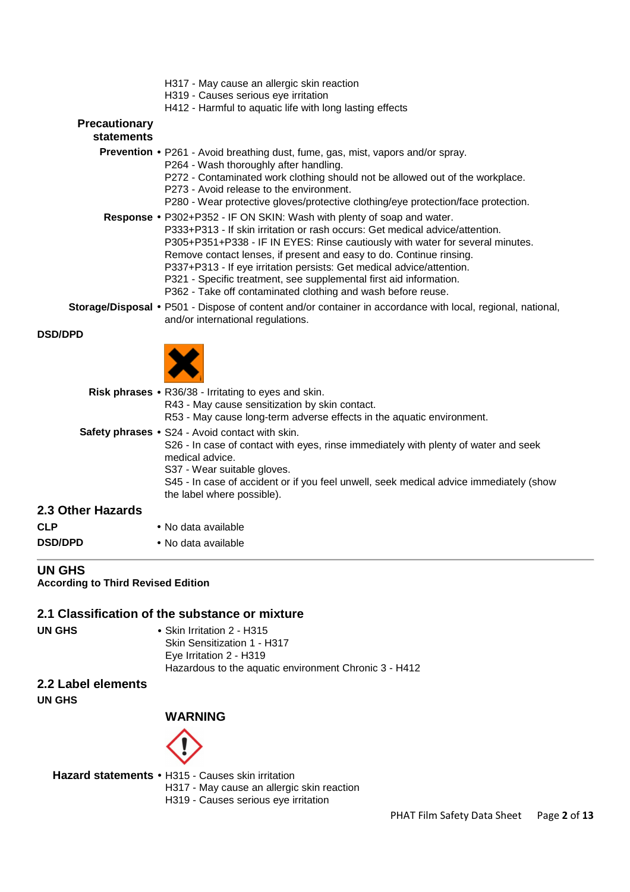- H317 May cause an allergic skin reaction
- H319 Causes serious eye irritation
- H412 Harmful to aquatic life with long lasting effects

# **Precautionary**

# **statements**

- **Prevention** P261 Avoid breathing dust, fume, gas, mist, vapors and/or spray. P264 - Wash thoroughly after handling.
	- P272 Contaminated work clothing should not be allowed out of the workplace.
	- P273 Avoid release to the environment.
	- P280 Wear protective gloves/protective clothing/eye protection/face protection.
- **Response** P302+P352 IF ON SKIN: Wash with plenty of soap and water. P333+P313 - If skin irritation or rash occurs: Get medical advice/attention. P305+P351+P338 - IF IN EYES: Rinse cautiously with water for several minutes. Remove contact lenses, if present and easy to do. Continue rinsing. P337+P313 - If eye irritation persists: Get medical advice/attention. P321 - Specific treatment, see supplemental first aid information. P362 - Take off contaminated clothing and wash before reuse.
- **Storage/Disposal** P501 Dispose of content and/or container in accordance with local, regional, national, and/or international regulations.

### **DSD/DPD**



|                   | Risk phrases • R36/38 - Irritating to eyes and skin.                                                   |
|-------------------|--------------------------------------------------------------------------------------------------------|
|                   | R43 - May cause sensitization by skin contact.                                                         |
|                   | R53 - May cause long-term adverse effects in the aquatic environment.                                  |
|                   | <b>Safety phrases • S24 - Avoid contact with skin.</b>                                                 |
|                   | S26 - In case of contact with eyes, rinse immediately with plenty of water and seek<br>medical advice. |
|                   | S37 - Wear suitable gloves.                                                                            |
|                   | S45 - In case of accident or if you feel unwell, seek medical advice immediately (show                 |
|                   | the label where possible).                                                                             |
| 2.3 Other Hazards |                                                                                                        |
| <b>CLP</b>        | • No data available                                                                                    |
| <b>DSD/DPD</b>    | • No data available                                                                                    |

### **UN GHS**

**According to Third Revised Edition**

### **2.1 Classification of the substance or mixture**

**UN GHS** • Skin Irritation 2 - H315 Skin Sensitization 1 - H317 Eye Irritation 2 - H319 Hazardous to the aquatic environment Chronic 3 - H412

# **2.2 Label elements**

**UN GHS** 

### **WARNING**



**Hazard statements** • H315 - Causes skin irritation

- H317 May cause an allergic skin reaction
- H319 Causes serious eye irritation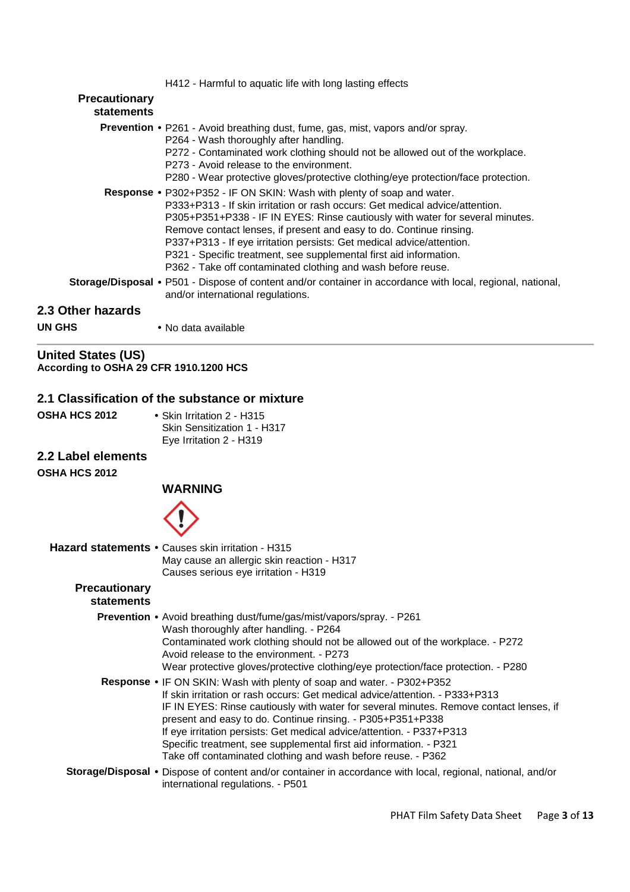|                                           | H412 - Harmful to aquatic life with long lasting effects                                                                                                                                                                                                                                                                                                                                                                                                                                                                      |
|-------------------------------------------|-------------------------------------------------------------------------------------------------------------------------------------------------------------------------------------------------------------------------------------------------------------------------------------------------------------------------------------------------------------------------------------------------------------------------------------------------------------------------------------------------------------------------------|
| <b>Precautionary</b><br><b>statements</b> |                                                                                                                                                                                                                                                                                                                                                                                                                                                                                                                               |
|                                           | <b>Prevention •</b> P261 - Avoid breathing dust, fume, gas, mist, vapors and/or spray.<br>P264 - Wash thoroughly after handling.<br>P272 - Contaminated work clothing should not be allowed out of the workplace.<br>P273 - Avoid release to the environment.<br>P280 - Wear protective gloves/protective clothing/eye protection/face protection.                                                                                                                                                                            |
|                                           | Response • P302+P352 - IF ON SKIN: Wash with plenty of soap and water.<br>P333+P313 - If skin irritation or rash occurs: Get medical advice/attention.<br>P305+P351+P338 - IF IN EYES: Rinse cautiously with water for several minutes.<br>Remove contact lenses, if present and easy to do. Continue rinsing.<br>P337+P313 - If eye irritation persists: Get medical advice/attention.<br>P321 - Specific treatment, see supplemental first aid information.<br>P362 - Take off contaminated clothing and wash before reuse. |
|                                           | Storage/Disposal • P501 - Dispose of content and/or container in accordance with local, regional, national,<br>and/or international regulations.                                                                                                                                                                                                                                                                                                                                                                              |
| 2.3 Other hazards                         |                                                                                                                                                                                                                                                                                                                                                                                                                                                                                                                               |
| <b>UN GHS</b>                             | • No data available                                                                                                                                                                                                                                                                                                                                                                                                                                                                                                           |

**United States (US) According to OSHA 29 CFR 1910.1200 HCS**

### **2.1 Classification of the substance or mixture**

| <b>OSHA HCS 2012</b> | • Skin Irritation 2 - H315  |
|----------------------|-----------------------------|
|                      | Skin Sensitization 1 - H317 |
|                      | Eye Irritation 2 - H319     |

### **2.2 Label elements**

**OSHA HCS 2012** 

### **WARNING**



|                      | Hazard statements . Causes skin irritation - H315                                                                                                    |
|----------------------|------------------------------------------------------------------------------------------------------------------------------------------------------|
|                      | May cause an allergic skin reaction - H317                                                                                                           |
|                      | Causes serious eye irritation - H319                                                                                                                 |
| <b>Precautionary</b> |                                                                                                                                                      |
| statements           |                                                                                                                                                      |
|                      | <b>Prevention •</b> Avoid breathing dust/fume/gas/mist/vapors/spray. - P261                                                                          |
|                      | Wash thoroughly after handling. - P264                                                                                                               |
|                      | Contaminated work clothing should not be allowed out of the workplace. - P272<br>Avoid release to the environment. - P273                            |
|                      | Wear protective gloves/protective clothing/eye protection/face protection. - P280                                                                    |
|                      | <b>Response •</b> IF ON SKIN: Wash with plenty of soap and water. - P302+P352                                                                        |
|                      | If skin irritation or rash occurs: Get medical advice/attention. - P333+P313                                                                         |
|                      | IF IN EYES: Rinse cautiously with water for several minutes. Remove contact lenses, if<br>present and easy to do. Continue rinsing. - P305+P351+P338 |
|                      | If eye irritation persists: Get medical advice/attention. - P337+P313                                                                                |
|                      | Specific treatment, see supplemental first aid information. - P321                                                                                   |
|                      | Take off contaminated clothing and wash before reuse. - P362                                                                                         |
|                      | Storage/Disposal • Dispose of content and/or container in accordance with local, regional, national, and/or<br>international regulations. - P501     |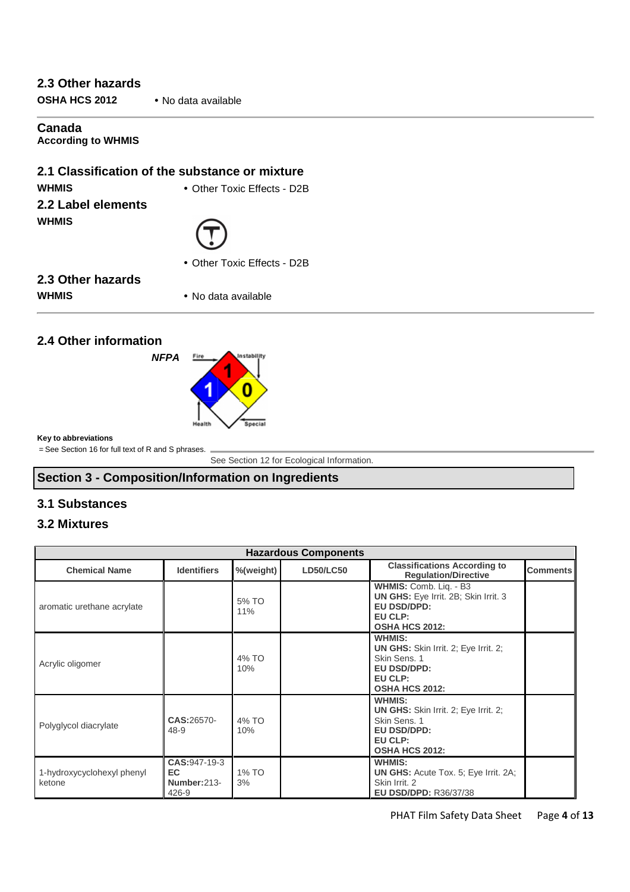### **2.3 Other hazards**

**OSHA HCS 2012** • No data available

#### **Canada According to WHMIS**

# **2.1 Classification of the substance or mixture**

**2.2 Label elements WHMIS** 





• Other Toxic Effects - D2B

# **2.3 Other hazards**

**WHMIS** • No data available

### **2.4 Other information**

**NFPA**



#### **Key to abbreviations**

= See Section 16 for full text of R and S phrases.

See Section 12 for Ecological Information.

# **Section 3 - Composition/Information on Ingredients**

## **3.1 Substances**

### **3.2 Mixtures**

| <b>Hazardous Components</b>          |                                               |              |                  |                                                                                                                                 |                 |
|--------------------------------------|-----------------------------------------------|--------------|------------------|---------------------------------------------------------------------------------------------------------------------------------|-----------------|
| <b>Chemical Name</b>                 | <b>Identifiers</b>                            | $%$ (weight) | <b>LD50/LC50</b> | <b>Classifications According to</b><br><b>Regulation/Directive</b>                                                              | <b>Comments</b> |
| aromatic urethane acrylate           |                                               | 5% TO<br>11% |                  | WHMIS: Comb. Lig. - B3<br>UN GHS: Eye Irrit. 2B; Skin Irrit. 3<br>EU DSD/DPD:<br>EU CLP:<br><b>OSHA HCS 2012:</b>               |                 |
| Acrylic oligomer                     |                                               | 4% TO<br>10% |                  | <b>WHMIS:</b><br><b>UN GHS:</b> Skin Irrit. 2; Eye Irrit. 2;<br>Skin Sens, 1<br>EU DSD/DPD:<br>EU CLP:<br><b>OSHA HCS 2012:</b> |                 |
| Polyglycol diacrylate                | CAS:26570-<br>$48 - 9$                        | 4% TO<br>10% |                  | <b>WHMIS:</b><br><b>UN GHS:</b> Skin Irrit. 2; Eye Irrit. 2;<br>Skin Sens, 1<br>EU DSD/DPD:<br>EU CLP:<br><b>OSHA HCS 2012:</b> |                 |
| 1-hydroxycyclohexyl phenyl<br>ketone | CAS: 947-19-3<br>EC.<br>Number: 213-<br>426-9 | 1% TO<br>3%  |                  | <b>WHMIS:</b><br>UN GHS: Acute Tox. 5; Eye Irrit. 2A;<br>Skin Irrit. 2<br><b>EU DSD/DPD: R36/37/38</b>                          |                 |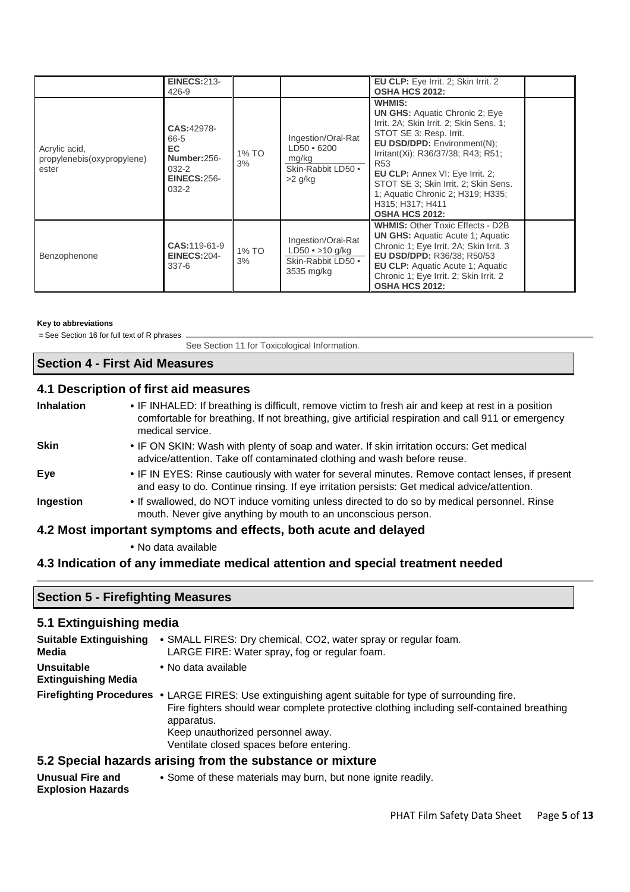|                                                      | <b>EINECS:213-</b><br>$426 - 9$                                                             |             |                                                                                     | EU CLP: Eye Irrit. 2; Skin Irrit. 2<br><b>OSHA HCS 2012:</b>                                                                                                                                                                                                                                                                                                                        |  |
|------------------------------------------------------|---------------------------------------------------------------------------------------------|-------------|-------------------------------------------------------------------------------------|-------------------------------------------------------------------------------------------------------------------------------------------------------------------------------------------------------------------------------------------------------------------------------------------------------------------------------------------------------------------------------------|--|
| Acrylic acid,<br>propylenebis(oxypropylene)<br>ester | CAS: 42978-<br>66-5<br>EC.<br>Number: 256-<br>$032 - 2$<br><b>EINECS: 256-</b><br>$032 - 2$ | 1% TO<br>3% | Ingestion/Oral-Rat<br>$LD50 \cdot 6200$<br>mg/kg<br>Skin-Rabbit LD50 .<br>$>2$ g/kg | <b>WHMIS:</b><br><b>UN GHS:</b> Aquatic Chronic 2; Eye<br>Irrit. 2A: Skin Irrit. 2: Skin Sens. 1:<br>STOT SE 3: Resp. Irrit.<br>EU DSD/DPD: Environment(N);<br>Irritant(Xi); R36/37/38; R43; R51;<br><b>R53</b><br><b>EU CLP:</b> Annex VI: Eye Irrit. 2;<br>STOT SE 3; Skin Irrit. 2; Skin Sens.<br>1: Aquatic Chronic 2: H319: H335:<br>H315; H317; H411<br><b>OSHA HCS 2012:</b> |  |
| Benzophenone                                         | CAS: 119-61-9<br><b>EINECS: 204-</b><br>$337-6$                                             | 1% TO<br>3% | Ingestion/Oral-Rat<br>$LD50 \cdot > 10$ g/kg<br>Skin-Rabbit LD50 .<br>3535 mg/kg    | <b>WHMIS: Other Toxic Effects - D2B</b><br><b>UN GHS: Aquatic Acute 1: Aquatic</b><br>Chronic 1; Eye Irrit. 2A; Skin Irrit. 3<br><b>EU DSD/DPD: R36/38; R50/53</b><br><b>EU CLP:</b> Aquatic Acute 1: Aquatic<br>Chronic 1; Eye Irrit. 2; Skin Irrit. 2<br><b>OSHA HCS 2012:</b>                                                                                                    |  |

#### **Key to abbreviations**

= See Section 16 for full text of R phrases

See Section 11 for Toxicological Information.

## **Section 4 - First Aid Measures**

# **4.1 Description of first aid measures**

| <b>Inhalation</b> | • IF INHALED: If breathing is difficult, remove victim to fresh air and keep at rest in a position<br>comfortable for breathing. If not breathing, give artificial respiration and call 911 or emergency<br>medical service. |
|-------------------|------------------------------------------------------------------------------------------------------------------------------------------------------------------------------------------------------------------------------|
| <b>Skin</b>       | • IF ON SKIN: Wash with plenty of soap and water. If skin irritation occurs: Get medical<br>advice/attention. Take off contaminated clothing and wash before reuse.                                                          |
| Eye               | • IF IN EYES: Rinse cautiously with water for several minutes. Remove contact lenses, if present<br>and easy to do. Continue rinsing. If eye irritation persists: Get medical advice/attention.                              |
| Ingestion         | • If swallowed, do NOT induce vomiting unless directed to do so by medical personnel. Rinse<br>mouth. Never give anything by mouth to an unconscious person.                                                                 |
|                   | 4.2 Most important symptoms and effects, both acute and delayed                                                                                                                                                              |
|                   | • No data available                                                                                                                                                                                                          |

# **4.3 Indication of any immediate medical attention and special treatment needed**

### **Section 5 - Firefighting Measures**

### **5.1 Extinguishing media**

| <b>Suitable Extinguishing</b><br>Media   | • SMALL FIRES: Dry chemical, CO2, water spray or regular foam.<br>LARGE FIRE: Water spray, fog or regular foam.                                                                                                                                                                                   |
|------------------------------------------|---------------------------------------------------------------------------------------------------------------------------------------------------------------------------------------------------------------------------------------------------------------------------------------------------|
| Unsuitable<br><b>Extinguishing Media</b> | • No data available                                                                                                                                                                                                                                                                               |
|                                          | Firefighting Procedures • LARGE FIRES: Use extinguishing agent suitable for type of surrounding fire.<br>Fire fighters should wear complete protective clothing including self-contained breathing<br>apparatus.<br>Keep unauthorized personnel away.<br>Ventilate closed spaces before entering. |
|                                          | 5.2 Special hazards arising from the substance or mixture                                                                                                                                                                                                                                         |

#### **Unusual Fire and Explosion Hazards**  • Some of these materials may burn, but none ignite readily.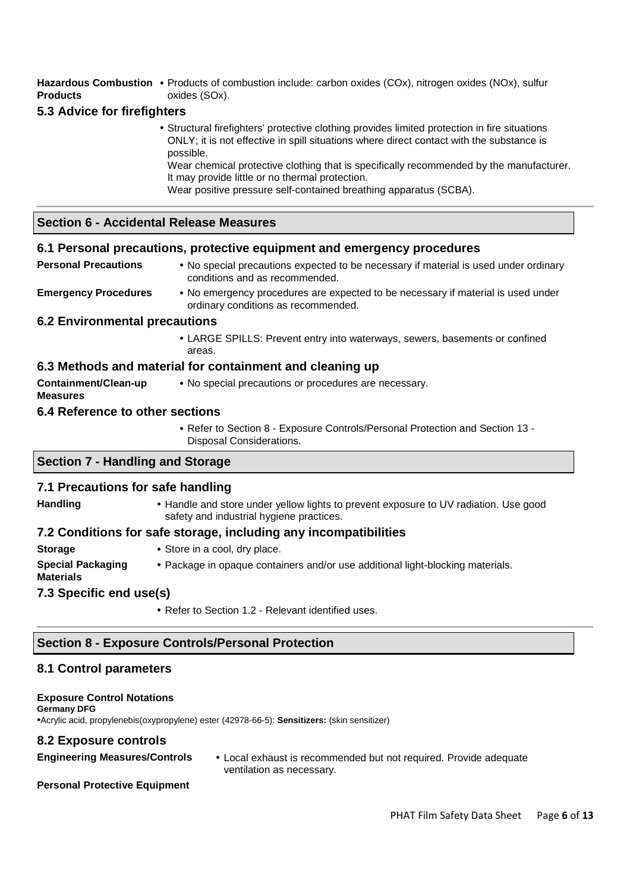Hazardous Combustion • Products of combustion include: carbon oxides (COx), nitrogen oxides (NOx), sulfur **Products**  oxides (SOx).

### **5.3 Advice for firefighters**

• Structural firefighters' protective clothing provides limited protection in fire situations ONLY; it is not effective in spill situations where direct contact with the substance is possible.

Wear chemical protective clothing that is specifically recommended by the manufacturer. It may provide little or no thermal protection.

Wear positive pressure self-contained breathing apparatus (SCBA).

### **Section 6 - Accidental Release Measures**

#### **6.1 Personal precautions, protective equipment and emergency procedures**

- **Personal Precautions •** No special precautions expected to be necessary if material is used under ordinary conditions and as recommended.
- **Emergency Procedures**  No emergency procedures are expected to be necessary if material is used under ordinary conditions as recommended.

#### **6.2 Environmental precautions**

• LARGE SPILLS: Prevent entry into waterways, sewers, basements or confined areas.

### **6.3 Methods and material for containment and cleaning up**

**Containment/Clean-up Measures**  • No special precautions or procedures are necessary.

### **6.4 Reference to other sections**

• Refer to Section 8 - Exposure Controls/Personal Protection and Section 13 - Disposal Considerations.

### **Section 7 - Handling and Storage**

#### **7.1 Precautions for safe handling**

**Handling** • Handle and store under yellow lights to prevent exposure to UV radiation. Use good safety and industrial hygiene practices.

### **7.2 Conditions for safe storage, including any incompatibilities**

**Materials** 

- **Storage Store in a cool, dry place.**
- **Special Packaging**  • Package in opaque containers and/or use additional light-blocking materials.

### **7.3 Specific end use(s)**

• Refer to Section 1.2 - Relevant identified uses.

### **Section 8 - Exposure Controls/Personal Protection**

### **8.1 Control parameters**

#### **Exposure Control Notations**

**Germany DFG** •Acrylic acid, propylenebis(oxypropylene) ester (42978-66-5): **Sensitizers:** (skin sensitizer)

### **8.2 Exposure controls**

- 
- **Engineering Measures/Controls**  Local exhaust is recommended but not required. Provide adequate ventilation as necessary.

#### **Personal Protective Equipment**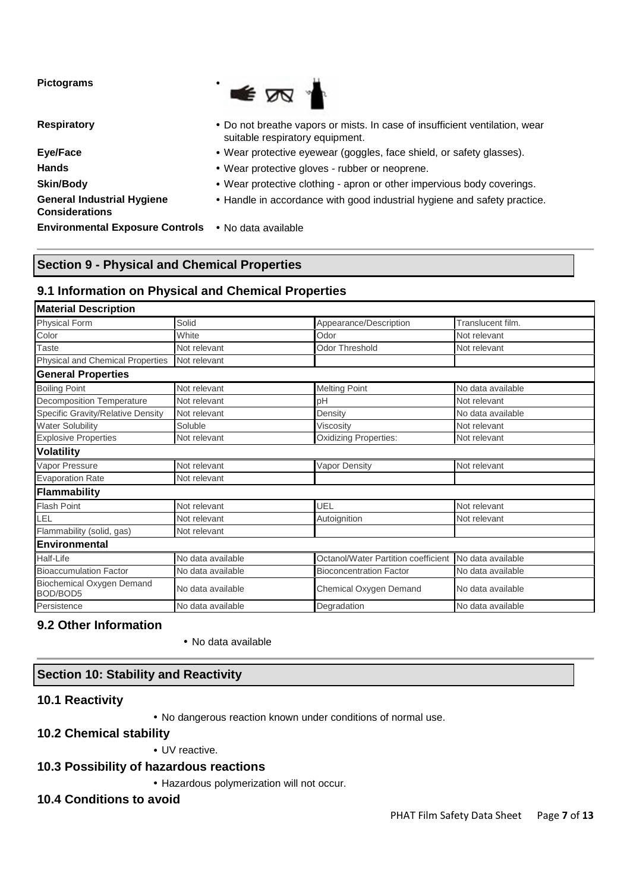**Pictograms** •

**General Industrial Hygiene Considerations** 

**Environmental Exposure Controls** • No data available

- **Respiratory**  Do not breathe vapors or mists. In case of insufficient ventilation, wear suitable respiratory equipment.
- **Eye/Face**  Wear protective eyewear (goggles, face shield, or safety glasses).
- **Hands**  Wear protective gloves rubber or neoprene.
- **Skin/Body** Wear protective clothing apron or other impervious body coverings.
	- Handle in accordance with good industrial hygiene and safety practice.

# **Section 9 - Physical and Chemical Properties**

## **9.1 Information on Physical and Chemical Properties**

| <b>Material Description</b>           |                   |                                     |                   |
|---------------------------------------|-------------------|-------------------------------------|-------------------|
| <b>Physical Form</b>                  | Solid             | Appearance/Description              | Translucent film. |
| Color                                 | White             | Odor                                | Not relevant      |
| Taste                                 | Not relevant      | Odor Threshold                      | Not relevant      |
| Physical and Chemical Properties      | Not relevant      |                                     |                   |
| <b>General Properties</b>             |                   |                                     |                   |
| <b>Boiling Point</b>                  | Not relevant      | <b>Melting Point</b>                | No data available |
| Decomposition Temperature             | Not relevant      | pH                                  | Not relevant      |
| Specific Gravity/Relative Density     | Not relevant      | Density                             | No data available |
| <b>Water Solubility</b>               | Soluble           | Viscosity                           | Not relevant      |
| <b>Explosive Properties</b>           | Not relevant      | <b>Oxidizing Properties:</b>        | Not relevant      |
| <b>Volatility</b>                     |                   |                                     |                   |
| Vapor Pressure                        | Not relevant      | Vapor Density                       | Not relevant      |
| <b>Evaporation Rate</b>               | Not relevant      |                                     |                   |
| <b>Flammability</b>                   |                   |                                     |                   |
| Flash Point                           | Not relevant      | UEL                                 | Not relevant      |
| <b>EL</b>                             | Not relevant      | Autoignition                        | Not relevant      |
| Flammability (solid, gas)             | Not relevant      |                                     |                   |
| <b>Environmental</b>                  |                   |                                     |                   |
| Half-Life                             | No data available | Octanol/Water Partition coefficient | No data available |
| <b>Bioaccumulation Factor</b>         | No data available | <b>Bioconcentration Factor</b>      | No data available |
| Biochemical Oxygen Demand<br>BOD/BOD5 | No data available | Chemical Oxygen Demand              | No data available |
| Persistence                           | No data available | Degradation                         | No data available |

# **9.2 Other Information**

### • No data available

## **Section 10: Stability and Reactivity**

## **10.1 Reactivity**

• No dangerous reaction known under conditions of normal use.

### **10.2 Chemical stability**

• UV reactive.

### **10.3 Possibility of hazardous reactions**

• Hazardous polymerization will not occur.

### **10.4 Conditions to avoid**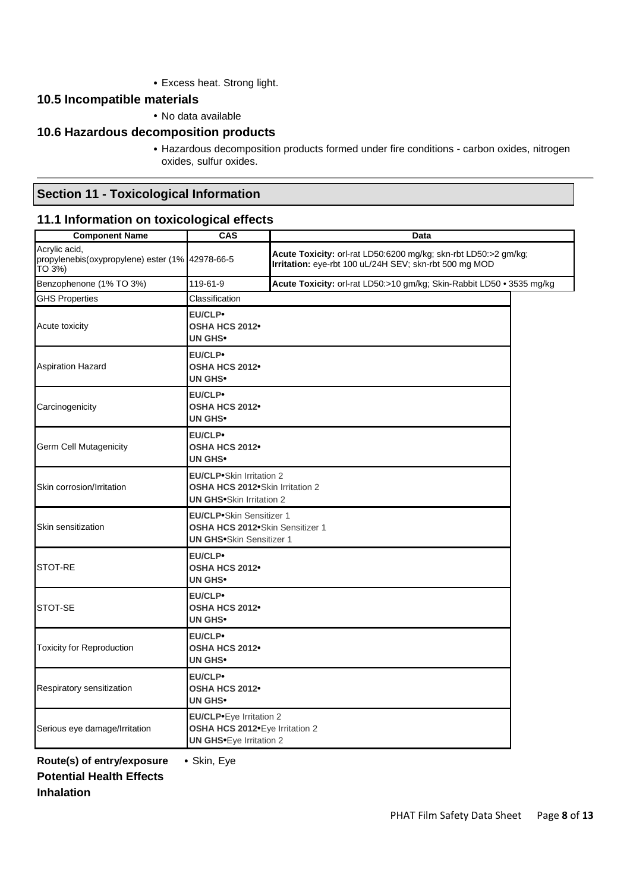• Excess heat. Strong light.

# **10.5 Incompatible materials**

• No data available

### **10.6 Hazardous decomposition products**

• Hazardous decomposition products formed under fire conditions - carbon oxides, nitrogen oxides, sulfur oxides.

# **Section 11 - Toxicological Information**

### **11.1 Information on toxicological effects**

| <b>Component Name</b>                                                      | <b>CAS</b>                                                                                                                | Data                                                                                                   |  |  |  |
|----------------------------------------------------------------------------|---------------------------------------------------------------------------------------------------------------------------|--------------------------------------------------------------------------------------------------------|--|--|--|
| Acrylic acid,<br>propylenebis(oxypropylene) ester (1% 42978-66-5<br>TO 3%) | Acute Toxicity: orl-rat LD50:6200 mg/kg; skn-rbt LD50:>2 gm/kg;<br>Irritation: eye-rbt 100 uL/24H SEV; skn-rbt 500 mg MOD |                                                                                                        |  |  |  |
| Benzophenone (1% TO 3%)                                                    | Acute Toxicity: orl-rat LD50:>10 gm/kg; Skin-Rabbit LD50 . 3535 mg/kg<br>119-61-9                                         |                                                                                                        |  |  |  |
| <b>GHS Properties</b>                                                      | Classification                                                                                                            |                                                                                                        |  |  |  |
| Acute toxicity                                                             | <b>EU/CLP</b><br><b>OSHA HCS 2012•</b><br>UN GHS <sup>.</sup>                                                             |                                                                                                        |  |  |  |
| <b>Aspiration Hazard</b>                                                   | EU/CLP•<br>OSHA HCS 2012∙<br>UN GHS <sup>.</sup>                                                                          |                                                                                                        |  |  |  |
| Carcinogenicity                                                            | <b>EU/CLP</b><br>OSHA HCS 2012 <sup>•</sup><br>UN GHS <sup>.</sup>                                                        |                                                                                                        |  |  |  |
| Germ Cell Mutagenicity                                                     | <b>EU/CLP</b><br><b>OSHA HCS 2012•</b><br>UN GHS <sup>.</sup>                                                             |                                                                                                        |  |  |  |
| Skin corrosion/Irritation                                                  |                                                                                                                           | <b>EU/CLP</b> •Skin Irritation 2<br>OSHA HCS 2012•Skin Irritation 2<br><b>UN GHS</b> Skin Irritation 2 |  |  |  |
| Skin sensitization                                                         | <b>EU/CLP</b> •Skin Sensitizer 1<br>OSHA HCS 2012•Skin Sensitizer 1<br><b>UN GHS</b> <sup>•</sup> Skin Sensitizer 1       |                                                                                                        |  |  |  |
| STOT-RE                                                                    | <b>EU/CLP•</b><br>OSHA HCS 2012 <sup>•</sup><br>UN GHS <sup>.</sup>                                                       |                                                                                                        |  |  |  |
| STOT-SE                                                                    | <b>EU/CLP</b><br><b>OSHA HCS 2012</b><br>UN GHS <sup>.</sup>                                                              |                                                                                                        |  |  |  |
| <b>Toxicity for Reproduction</b>                                           | EU/CLP•<br><b>OSHA HCS 2012</b><br>UN GHS <sup>.</sup>                                                                    |                                                                                                        |  |  |  |
| Respiratory sensitization                                                  | EU/CLP•<br><b>OSHA HCS 2012•</b><br><b>UN GHS•</b>                                                                        |                                                                                                        |  |  |  |
| Serious eye damage/Irritation                                              | EU/CLP.Eye Irritation 2<br>OSHA HCS 2012. Eye Irritation 2<br><b>UN GHS</b> <sup>•</sup> Eye Irritation 2                 |                                                                                                        |  |  |  |

**Route(s) of entry/exposure** • Skin, Eye **Potential Health Effects Inhalation**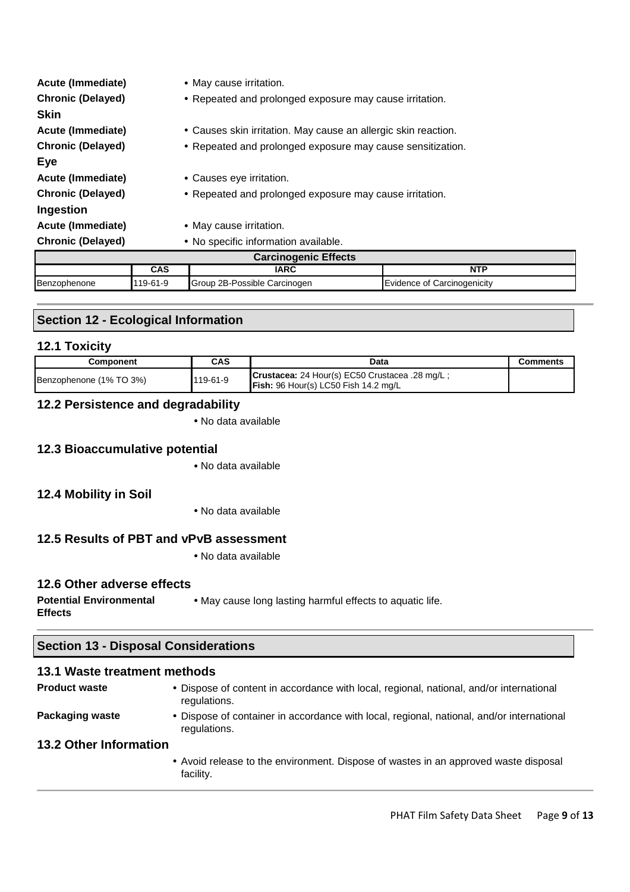| <b>Acute (Immediate)</b> | • May cause irritation.                                        |
|--------------------------|----------------------------------------------------------------|
| <b>Chronic (Delayed)</b> | • Repeated and prolonged exposure may cause irritation.        |
| <b>Skin</b>              |                                                                |
| Acute (Immediate)        | • Causes skin irritation. May cause an allergic skin reaction. |
| <b>Chronic (Delayed)</b> | • Repeated and prolonged exposure may cause sensitization.     |
| Eye                      |                                                                |
| Acute (Immediate)        | • Causes eye irritation.                                       |
| <b>Chronic (Delayed)</b> | • Repeated and prolonged exposure may cause irritation.        |
| Ingestion                |                                                                |
| Acute (Immediate)        | • May cause irritation.                                        |
| <b>Chronic (Delayed)</b> | • No specific information available.                           |

| <b>Carcinogenic Effects</b> |          |                              |                             |  |  |  |
|-----------------------------|----------|------------------------------|-----------------------------|--|--|--|
| CAS<br>IARC<br><b>NTP</b>   |          |                              |                             |  |  |  |
| Benzophenone                | 119-61-9 | Group 2B-Possible Carcinogen | Evidence of Carcinogenicity |  |  |  |

# **Section 12 - Ecological Information**

# **12.1 Toxicity**

| Component               | CAS      | Data                                                                                            | Comments |
|-------------------------|----------|-------------------------------------------------------------------------------------------------|----------|
| Benzophenone (1% TO 3%) | 119-61-9 | Crustacea: 24 Hour(s) EC50 Crustacea .28 mg/L;<br><b>Fish:</b> $96$ Hour(s) LC50 Fish 14.2 mg/L |          |

### **12.2 Persistence and degradability**

• No data available

### **12.3 Bioaccumulative potential**

• No data available

# **12.4 Mobility in Soil**

• No data available

## **12.5 Results of PBT and vPvB assessment**

• No data available

### **12.6 Other adverse effects**

| <b>Potential Environmental</b> | • May cause long lasting harmful effects to aquatic life. |
|--------------------------------|-----------------------------------------------------------|
| <b>Effects</b>                 |                                                           |

# **Section 13 - Disposal Considerations**

## **13.1 Waste treatment methods**

| <b>Product waste</b>          | • Dispose of content in accordance with local, regional, national, and/or international<br>regulations.   |
|-------------------------------|-----------------------------------------------------------------------------------------------------------|
| Packaging waste               | • Dispose of container in accordance with local, regional, national, and/or international<br>regulations. |
| <b>13.2 Other Information</b> |                                                                                                           |
|                               | • Avoid release to the environment. Dispose of wastes in an approved waste disposal<br>facility.          |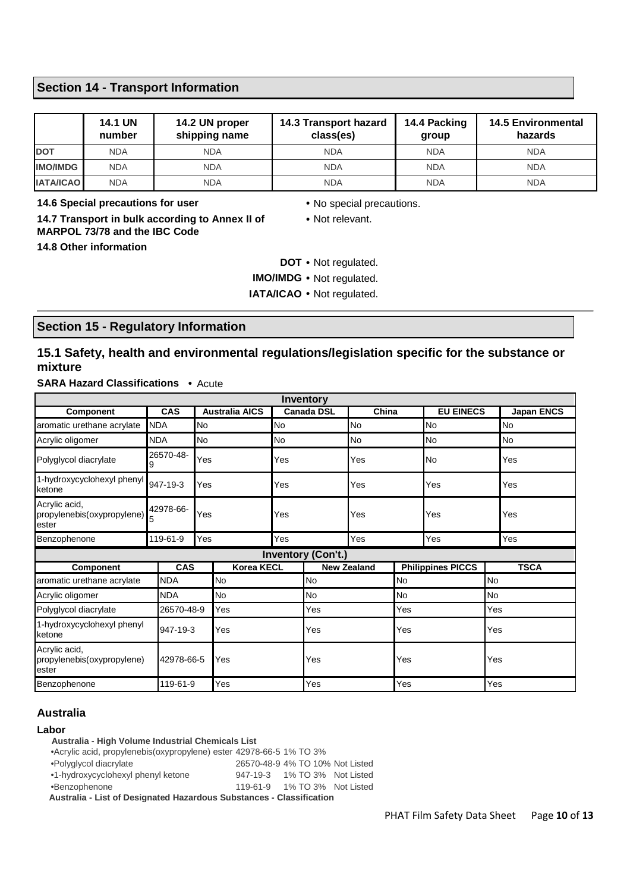### **Section 14 - Transport Information**

|                  | <b>14.1 UN</b><br>number | 14.2 UN proper<br>shipping name | 14.3 Transport hazard<br>class(es) | 14.4 Packing<br>group | <b>14.5 Environmental</b><br>hazards |
|------------------|--------------------------|---------------------------------|------------------------------------|-----------------------|--------------------------------------|
| <b>DOT</b>       | <b>NDA</b>               | <b>NDA</b>                      | <b>NDA</b>                         | <b>NDA</b>            | <b>NDA</b>                           |
| <b>IMO/IMDG</b>  | <b>NDA</b>               | <b>NDA</b>                      | <b>NDA</b>                         | <b>NDA</b>            | <b>NDA</b>                           |
| <b>IATA/ICAO</b> | <b>NDA</b>               | <b>NDA</b>                      | <b>NDA</b>                         | <b>NDA</b>            | <b>NDA</b>                           |

**14.6 Special precautions for user** • No special precautions.

**14.7 Transport in bulk according to Annex II of MARPOL 73/78 and the IBC Code** 

• Not relevant.

**14.8 Other information** 

- **DOT** Not regulated.
- **IMO/IMDG** Not regulated.
- **IATA/ICAO** Not regulated.

### **Section 15 - Regulatory Information**

### **15.1 Safety, health and environmental regulations/legislation specific for the substance or mixture**

**SARA Hazard Classifications** • Acute

|                                                      |                |     |                       |                   | <b>Inventory</b>          |       |     |                          |           |                   |  |
|------------------------------------------------------|----------------|-----|-----------------------|-------------------|---------------------------|-------|-----|--------------------------|-----------|-------------------|--|
| <b>Component</b>                                     | <b>CAS</b>     |     | <b>Australia AICS</b> | <b>Canada DSL</b> |                           | China |     | <b>EU EINECS</b>         |           | <b>Japan ENCS</b> |  |
| aromatic urethane acrylate                           | <b>NDA</b>     | No  |                       | No                |                           | No    |     | No                       |           | No                |  |
| Acrylic oligomer                                     | <b>NDA</b>     | No  |                       | No                |                           | No    |     | No                       |           | <b>No</b>         |  |
| Polyglycol diacrylate                                | 26570-48-<br>9 | Yes |                       | Yes               |                           | Yes   |     | No                       |           | Yes               |  |
| 1-hydroxycyclohexyl phenyl<br>ketone                 | 947-19-3       | Yes |                       | Yes               |                           | Yes   |     | Yes                      |           | Yes               |  |
| Acrylic acid,<br>propylenebis(oxypropylene)<br>ester | 42978-66-      | Yes |                       | Yes               | Yes                       |       | Yes |                          |           | Yes               |  |
| Benzophenone                                         | 119-61-9       | Yes |                       | Yes               |                           | Yes   |     | Yes                      |           | Yes               |  |
|                                                      |                |     |                       |                   | <b>Inventory (Con't.)</b> |       |     |                          |           |                   |  |
| <b>Component</b>                                     | CAS            |     | <b>Korea KECL</b>     |                   | <b>New Zealand</b>        |       |     | <b>Philippines PICCS</b> |           | <b>TSCA</b>       |  |
| aromatic urethane acrylate                           | <b>NDA</b>     |     | <b>No</b>             |                   | No                        |       | No  |                          | No        |                   |  |
| Acrylic oligomer                                     | NDA            |     | <b>No</b>             |                   | <b>No</b><br>No           |       |     |                          | <b>No</b> |                   |  |
| Polyglycol diacrylate                                | 26570-48-9     |     | Yes                   |                   | Yes                       |       | Yes |                          |           | Yes               |  |
| 1-hydroxycyclohexyl phenyl<br>ketone                 | 947-19-3       |     | Yes                   |                   | Yes                       |       | Yes |                          |           | Yes               |  |
| Acrylic acid,<br>propylenebis(oxypropylene)<br>ester | 42978-66-5     |     | Yes                   |                   | Yes                       |       | Yes |                          | Yes       |                   |  |
| Benzophenone                                         | 119-61-9       |     | Yes                   |                   | Yes                       |       | Yes |                          | Yes       |                   |  |

### **Australia**

#### **Labor**

**Australia - High Volume Industrial Chemicals List**

•Acrylic acid, propylenebis(oxypropylene) ester 42978-66-5 1% TO 3%

•Polyglycol diacrylate 26570-48-9 4% TO 10% Not Listed

•1-hydroxycyclohexyl phenyl ketone 947-19-3 1% TO 3% Not Listed

•Benzophenone 119-61-9 1% TO 3% Not Listed

**Australia - List of Designated Hazardous Substances - Classification**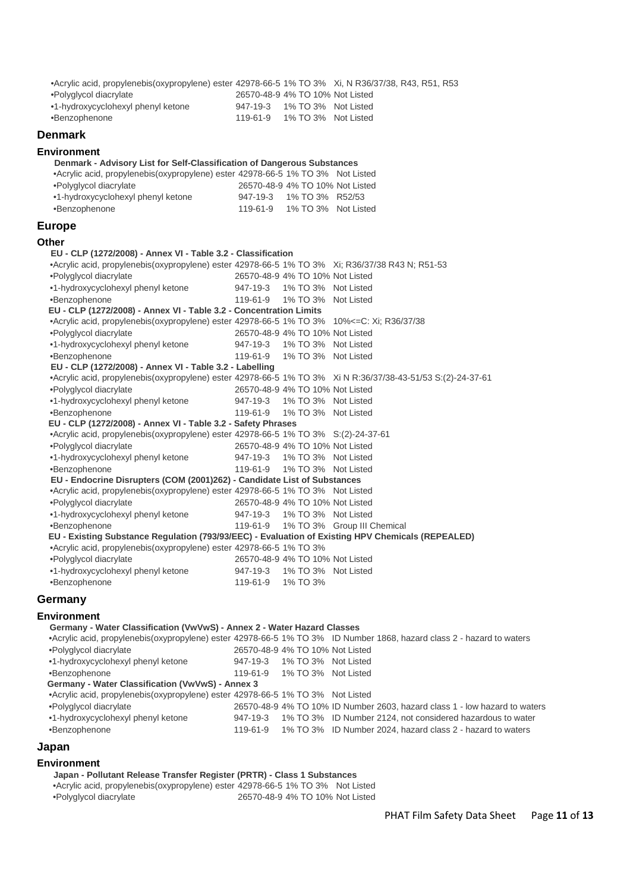| •Acrylic acid, propylenebis(oxypropylene) ester 42978-66-5 1% TO 3% Xi, N R36/37/38, R43, R51, R53 |                                 |  |
|----------------------------------------------------------------------------------------------------|---------------------------------|--|
| •Polyglycol diacrylate                                                                             | 26570-48-9 4% TO 10% Not Listed |  |
| •1-hydroxycyclohexyl phenyl ketone                                                                 | 947-19-3 1% TO 3% Not Listed    |  |
| •Benzophenone                                                                                      | 119-61-9 1% TO 3% Not Listed    |  |

### **Denmark**

#### **Environment**

#### **Denmark - Advisory List for Self-Classification of Dangerous Substances**

| •Acrylic acid, propylenebis(oxypropylene) ester 42978-66-5 1% TO 3% Not Listed |          |                                 |  |
|--------------------------------------------------------------------------------|----------|---------------------------------|--|
| •Polyglycol diacrylate                                                         |          | 26570-48-9 4% TO 10% Not Listed |  |
| •1-hydroxycyclohexyl phenyl ketone                                             | 947-19-3 | 1% TO 3% R52/53                 |  |
| •Benzophenone                                                                  | 119-61-9 | 1% TO 3% Not Listed             |  |

### **Europe**

#### **Other**

| EU - CLP (1272/2008) - Annex VI - Table 3.2 - Classification                                                   |                                 |  |                                      |
|----------------------------------------------------------------------------------------------------------------|---------------------------------|--|--------------------------------------|
| •Acrylic acid, propylenebis(oxypropylene) ester 42978-66-5 1% TO 3% Xi; R36/37/38 R43 N; R51-53                |                                 |  |                                      |
| ·Polyglycol diacrylate                                                                                         | 26570-48-9 4% TO 10% Not Listed |  |                                      |
| •1-hydroxycyclohexyl phenyl ketone 947-19-3 1% TO 3% Not Listed                                                |                                 |  |                                      |
| •Benzophenone                                                                                                  | 119-61-9 1% TO 3% Not Listed    |  |                                      |
| EU - CLP (1272/2008) - Annex VI - Table 3.2 - Concentration Limits                                             |                                 |  |                                      |
| •Acrylic acid, propylenebis(oxypropylene) ester 42978-66-5 1% TO 3% 10% <= C: Xi; R36/37/38                    |                                 |  |                                      |
| •Polyglycol diacrylate                                                                                         | 26570-48-9 4% TO 10% Not Listed |  |                                      |
| •1-hydroxycyclohexyl phenyl ketone 947-19-3 1% TO 3% Not Listed                                                |                                 |  |                                      |
| •Benzophenone                                                                                                  | 119-61-9  1% TO 3%  Not Listed  |  |                                      |
| EU - CLP (1272/2008) - Annex VI - Table 3.2 - Labelling                                                        |                                 |  |                                      |
| •Acrylic acid, propylenebis(oxypropylene) ester 42978-66-5 1% TO 3% Xi N R:36/37/38-43-51/53 S:(2)-24-37-61    |                                 |  |                                      |
| •Polyglycol diacrylate                                                                                         | 26570-48-9 4% TO 10% Not Listed |  |                                      |
| •1-hydroxycyclohexyl phenyl ketone                                                                             | 947-19-3 1% TO 3% Not Listed    |  |                                      |
| •Benzophenone                                                                                                  | 119-61-9 1% TO 3% Not Listed    |  |                                      |
| EU - CLP (1272/2008) - Annex VI - Table 3.2 - Safety Phrases                                                   |                                 |  |                                      |
| •Acrylic acid, propylenebis(oxypropylene) ester 42978-66-5 1% TO 3% S:(2)-24-37-61                             |                                 |  |                                      |
| •Polyglycol diacrylate                                                                                         | 26570-48-9 4% TO 10% Not Listed |  |                                      |
| •1-hydroxycyclohexyl phenyl ketone                                                                             | 947-19-3 1% TO 3% Not Listed    |  |                                      |
| •Benzophenone                                                                                                  | 119-61-9 1% TO 3% Not Listed    |  |                                      |
| EU - Endocrine Disrupters (COM (2001)262) - Candidate List of Substances                                       |                                 |  |                                      |
| •Acrylic acid, propylenebis(oxypropylene) ester 42978-66-5 1% TO 3% Not Listed                                 |                                 |  |                                      |
| •Polyglycol diacrylate                                                                                         | 26570-48-9 4% TO 10% Not Listed |  |                                      |
| •1-hydroxycyclohexyl phenyl ketone 947-19-3 1% TO 3% Not Listed<br>•Benzophenone 119-61-9 1% TO 3% Group III C |                                 |  |                                      |
| •Benzophenone                                                                                                  |                                 |  | 119-61-9 1% TO 3% Group III Chemical |
| EU - Existing Substance Regulation (793/93/EEC) - Evaluation of Existing HPV Chemicals (REPEALED)              |                                 |  |                                      |
| •Acrylic acid, propylenebis(oxypropylene) ester 42978-66-5 1% TO 3%                                            |                                 |  |                                      |
| •Polyglycol diacrylate                                                                                         | 26570-48-9 4% TO 10% Not Listed |  |                                      |
| •1-hydroxycyclohexyl phenyl ketone                                                                             | 947-19-3 1% TO 3% Not Listed    |  |                                      |
| •Benzophenone                                                                                                  | 119-61-9 1% TO 3%               |  |                                      |

### **Germany**

#### **Environment**

**Germany - Water Classification (VwVwS) - Annex 2 - Water Hazard Classes** •Acrylic acid, propylenebis(oxypropylene) ester 42978-66-5 1% TO 3% ID Number 1868, hazard class 2 - hazard to waters

| •Polyglycol diacrylate                                                         |          | 26570-48-9 4% TO 10% Not Listed |                                                                            |
|--------------------------------------------------------------------------------|----------|---------------------------------|----------------------------------------------------------------------------|
| •1-hydroxycyclohexyl phenyl ketone                                             | 947-19-3 | 1% TO 3% Not Listed             |                                                                            |
| •Benzophenone                                                                  |          | 119-61-9 1% TO 3% Not Listed    |                                                                            |
| Germany - Water Classification (VwVwS) - Annex 3                               |          |                                 |                                                                            |
| •Acrylic acid, propylenebis(oxypropylene) ester 42978-66-5 1% TO 3% Not Listed |          |                                 |                                                                            |
| •Polyglycol diacrylate                                                         |          |                                 | 26570-48-9 4% TO 10% ID Number 2603, hazard class 1 - low hazard to waters |
| •1-hydroxycyclohexyl phenyl ketone                                             |          |                                 | 947-19-3 1% TO 3% ID Number 2124, not considered hazardous to water        |
| •Benzophenone                                                                  |          |                                 | 119-61-9 1% TO 3% ID Number 2024, hazard class 2 - hazard to waters        |
|                                                                                |          |                                 |                                                                            |

#### **Japan**

#### **Environment**

**Japan - Pollutant Release Transfer Register (PRTR) - Class 1 Substances**

•Acrylic acid, propylenebis(oxypropylene) ester 42978-66-5 1% TO 3% Not Listed •Polyglycol diacrylate 26570-48-9 4% TO 10% Not Listed